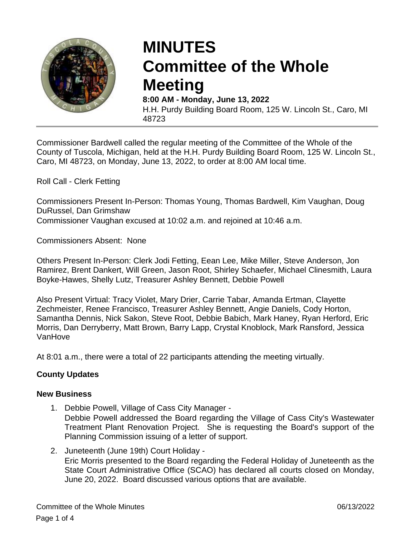

# **MINUTES Committee of the Whole Meeting**

**8:00 AM - Monday, June 13, 2022** H.H. Purdy Building Board Room, 125 W. Lincoln St., Caro, MI 48723

Commissioner Bardwell called the regular meeting of the Committee of the Whole of the County of Tuscola, Michigan, held at the H.H. Purdy Building Board Room, 125 W. Lincoln St., Caro, MI 48723, on Monday, June 13, 2022, to order at 8:00 AM local time.

Roll Call - Clerk Fetting

Commissioners Present In-Person: Thomas Young, Thomas Bardwell, Kim Vaughan, Doug DuRussel, Dan Grimshaw

Commissioner Vaughan excused at 10:02 a.m. and rejoined at 10:46 a.m.

Commissioners Absent: None

Others Present In-Person: Clerk Jodi Fetting, Eean Lee, Mike Miller, Steve Anderson, Jon Ramirez, Brent Dankert, Will Green, Jason Root, Shirley Schaefer, Michael Clinesmith, Laura Boyke-Hawes, Shelly Lutz, Treasurer Ashley Bennett, Debbie Powell

Also Present Virtual: Tracy Violet, Mary Drier, Carrie Tabar, Amanda Ertman, Clayette Zechmeister, Renee Francisco, Treasurer Ashley Bennett, Angie Daniels, Cody Horton, Samantha Dennis, Nick Sakon, Steve Root, Debbie Babich, Mark Haney, Ryan Herford, Eric Morris, Dan Derryberry, Matt Brown, Barry Lapp, Crystal Knoblock, Mark Ransford, Jessica VanHove

At 8:01 a.m., there were a total of 22 participants attending the meeting virtually.

# **County Updates**

# **New Business**

1. Debbie Powell, Village of Cass City Manager -

Debbie Powell addressed the Board regarding the Village of Cass City's Wastewater Treatment Plant Renovation Project. She is requesting the Board's support of the Planning Commission issuing of a letter of support.

2. Juneteenth (June 19th) Court Holiday - Eric Morris presented to the Board regarding the Federal Holiday of Juneteenth as the State Court Administrative Office (SCAO) has declared all courts closed on Monday, June 20, 2022. Board discussed various options that are available.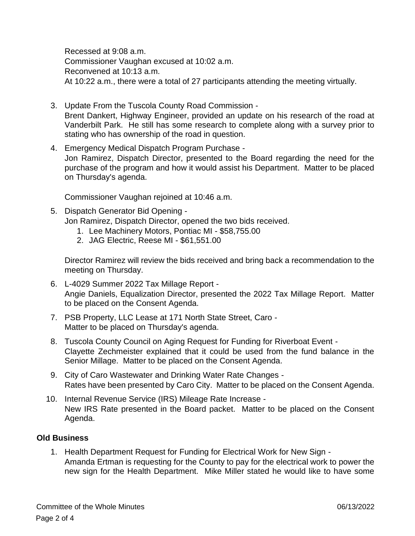Recessed at 9:08 a.m. Commissioner Vaughan excused at 10:02 a.m. Reconvened at 10:13 a.m. At 10:22 a.m., there were a total of 27 participants attending the meeting virtually.

- 3. Update From the Tuscola County Road Commission Brent Dankert, Highway Engineer, provided an update on his research of the road at Vanderbilt Park. He still has some research to complete along with a survey prior to stating who has ownership of the road in question.
- 4. Emergency Medical Dispatch Program Purchase Jon Ramirez, Dispatch Director, presented to the Board regarding the need for the purchase of the program and how it would assist his Department. Matter to be placed on Thursday's agenda.

Commissioner Vaughan rejoined at 10:46 a.m.

- 5. Dispatch Generator Bid Opening Jon Ramirez, Dispatch Director, opened the two bids received.
	- 1. Lee Machinery Motors, Pontiac MI \$58,755.00
	- 2. JAG Electric, Reese MI \$61,551.00

Director Ramirez will review the bids received and bring back a recommendation to the meeting on Thursday.

- 6. L-4029 Summer 2022 Tax Millage Report Angie Daniels, Equalization Director, presented the 2022 Tax Millage Report. Matter to be placed on the Consent Agenda.
- 7. PSB Property, LLC Lease at 171 North State Street, Caro Matter to be placed on Thursday's agenda.
- 8. Tuscola County Council on Aging Request for Funding for Riverboat Event Clayette Zechmeister explained that it could be used from the fund balance in the Senior Millage. Matter to be placed on the Consent Agenda.
- 9. City of Caro Wastewater and Drinking Water Rate Changes Rates have been presented by Caro City. Matter to be placed on the Consent Agenda.
- 10. Internal Revenue Service (IRS) Mileage Rate Increase New IRS Rate presented in the Board packet. Matter to be placed on the Consent Agenda.

# **Old Business**

1. Health Department Request for Funding for Electrical Work for New Sign - Amanda Ertman is requesting for the County to pay for the electrical work to power the new sign for the Health Department. Mike Miller stated he would like to have some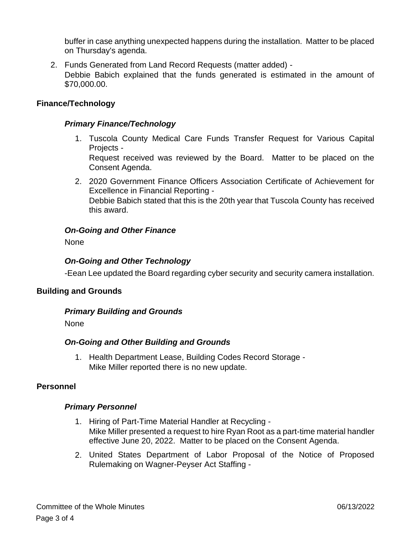buffer in case anything unexpected happens during the installation. Matter to be placed on Thursday's agenda.

2. Funds Generated from Land Record Requests (matter added) - Debbie Babich explained that the funds generated is estimated in the amount of \$70,000.00.

#### **Finance/Technology**

#### *Primary Finance/Technology*

1. Tuscola County Medical Care Funds Transfer Request for Various Capital Projects -

Request received was reviewed by the Board. Matter to be placed on the Consent Agenda.

2. 2020 Government Finance Officers Association Certificate of Achievement for Excellence in Financial Reporting - Debbie Babich stated that this is the 20th year that Tuscola County has received this award.

# *On-Going and Other Finance*

None

# *On-Going and Other Technology*

-Eean Lee updated the Board regarding cyber security and security camera installation.

#### **Building and Grounds**

#### *Primary Building and Grounds*

None

#### *On-Going and Other Building and Grounds*

1. Health Department Lease, Building Codes Record Storage - Mike Miller reported there is no new update.

#### **Personnel**

#### *Primary Personnel*

- 1. Hiring of Part-Time Material Handler at Recycling Mike Miller presented a request to hire Ryan Root as a part-time material handler effective June 20, 2022. Matter to be placed on the Consent Agenda.
- 2. United States Department of Labor Proposal of the Notice of Proposed Rulemaking on Wagner-Peyser Act Staffing -